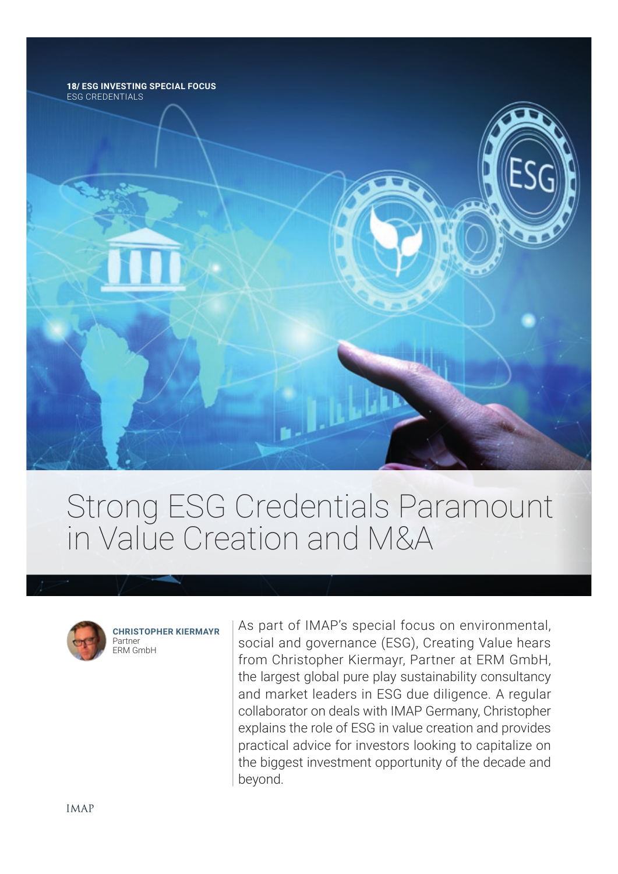

# Strong ESG Credentials Paramount in Value Creation and M&A



**CHRISTOPHER KIERMAYR** Partner ERM GmbH

As part of IMAP's special focus on environmental, social and governance (ESG), Creating Value hears from Christopher Kiermayr, Partner at ERM GmbH, the largest global pure play sustainability consultancy and market leaders in ESG due diligence. A regular collaborator on deals with IMAP Germany, Christopher explains the role of ESG in value creation and provides practical advice for investors looking to capitalize on the biggest investment opportunity of the decade and beyond.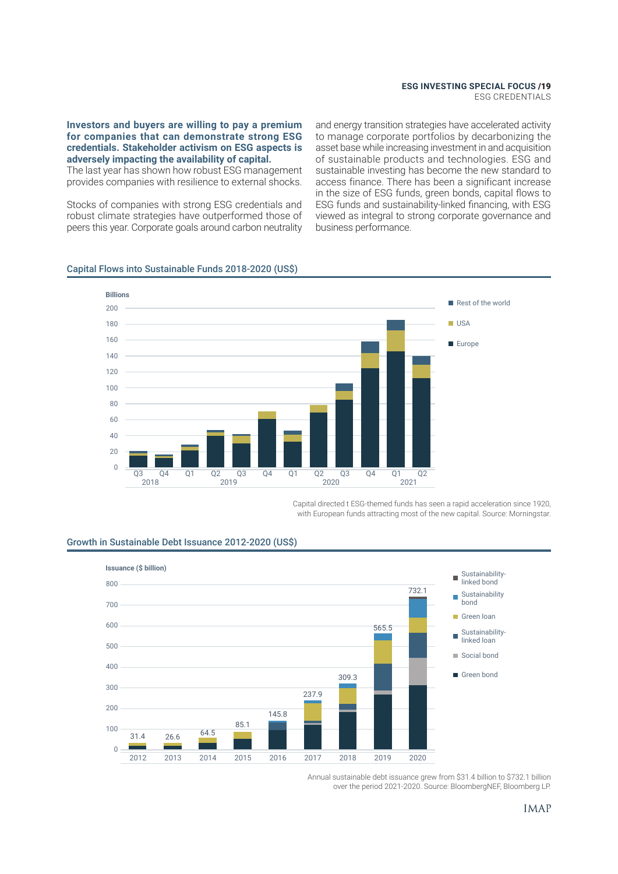ESG CREDENTIALS

**Investors and buyers are willing to pay a premium for companies that can demonstrate strong ESG credentials. Stakeholder activism on ESG aspects is adversely impacting the availability of capital.**

The last year has shown how robust ESG management provides companies with resilience to external shocks.

Stocks of companies with strong ESG credentials and robust climate strategies have outperformed those of peers this year. Corporate goals around carbon neutrality

and energy transition strategies have accelerated activity to manage corporate portfolios by decarbonizing the asset base while increasing investment in and acquisition of sustainable products and technologies. ESG and sustainable investing has become the new standard to access finance. There has been a significant increase in the size of ESG funds, green bonds, capital flows to ESG funds and sustainability-linked fnancing, with ESG viewed as integral to strong corporate governance and business performance.

#### Capital Flows into Sustainable Funds 2018-2020 (US\$)



Capital directed t ESG-themed funds has seen a rapid acceleration since 1920, with European funds attracting most of the new capital. Source: Morningstar.



#### Growth in Sustainable Debt Issuance 2012-2020 (US\$)

Annual sustainable debt issuance grew from \$31.4 billion to \$732.1 billion over the period 2021-2020. Source: BloombergNEF, Bloomberg LP.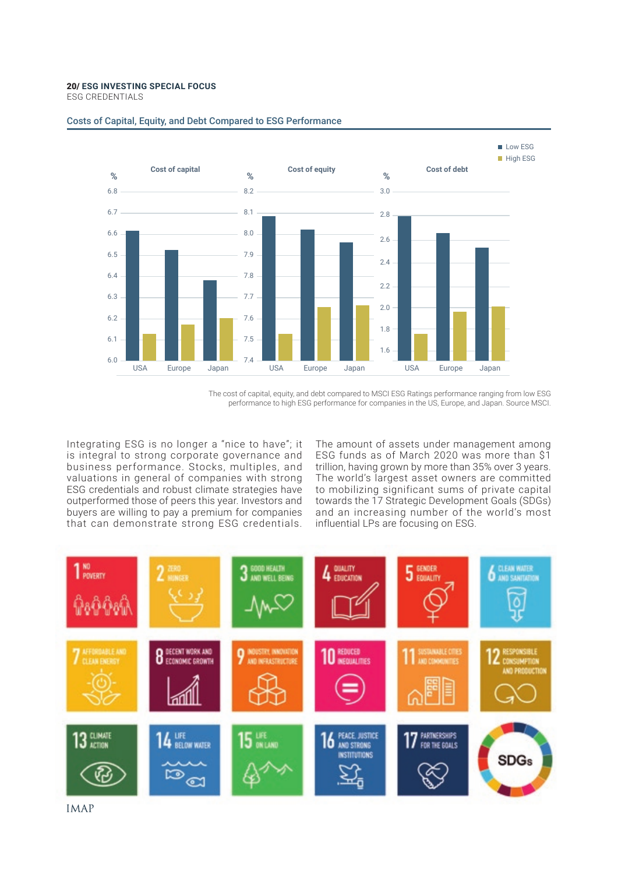ESG CREDENTIALS



#### Costs of Capital, Equity, and Debt Compared to ESG Performance

The cost of capital, equity, and debt compared to MSCI ESG Ratings performance ranging from low ESG performance to high ESG performance for companies in the US, Europe, and Japan. Source MSCI.

Integrating ESG is no longer a "nice to have"; it is integral to strong corporate governance and business performance. Stocks, multiples, and valuations in general of companies with strong ESG credentials and robust climate strategies have outperformed those of peers this year. Investors and buyers are willing to pay a premium for companies that can demonstrate strong ESG credentials.

The amount of assets under management among ESG funds as of March 2020 was more than \$1 trillion, having grown by more than 35% over 3 years. The world's largest asset owners are committed to mobilizing significant sums of private capital towards the 17 Strategic Development Goals (SDGs) and an increasing number of the world's most influential LPs are focusing on ESG.



**IMAP**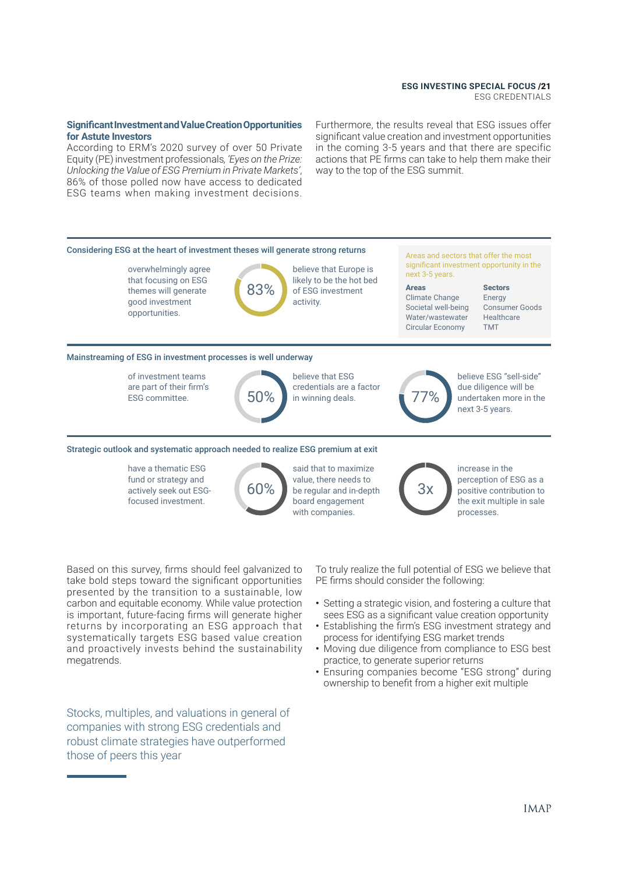ESG CREDENTIALS

#### **Signifcant Investment and Value Creation Opportunities for Astute Investors**

According to ERM's 2020 survey of over 50 Private Equity (PE) investment professionals*, 'Eyes on the Prize: Unlocking the Value of ESG Premium in Private Markets'*, 86% of those polled now have access to dedicated ESG teams when making investment decisions.

Furthermore, the results reveal that ESG issues offer signifcant value creation and investment opportunities in the coming 3-5 years and that there are specific actions that PE frms can take to help them make their way to the top of the ESG summit.



Based on this survey, frms should feel galvanized to take bold steps toward the signifcant opportunities presented by the transition to a sustainable, low carbon and equitable economy. While value protection is important, future-facing frms will generate higher returns by incorporating an ESG approach that systematically targets ESG based value creation and proactively invests behind the sustainability megatrends.

Stocks, multiples, and valuations in general of companies with strong ESG credentials and robust climate strategies have outperformed those of peers this year

To truly realize the full potential of ESG we believe that PE firms should consider the following:

- **•** Setting a strategic vision, and fostering a culture that sees ESG as a significant value creation opportunity
- **•** Establishing the frm's ESG investment strategy and process for identifying ESG market trends
- **•** Moving due diligence from compliance to ESG best practice, to generate superior returns
- **•** Ensuring companies become "ESG strong" during ownership to beneft from a higher exit multiple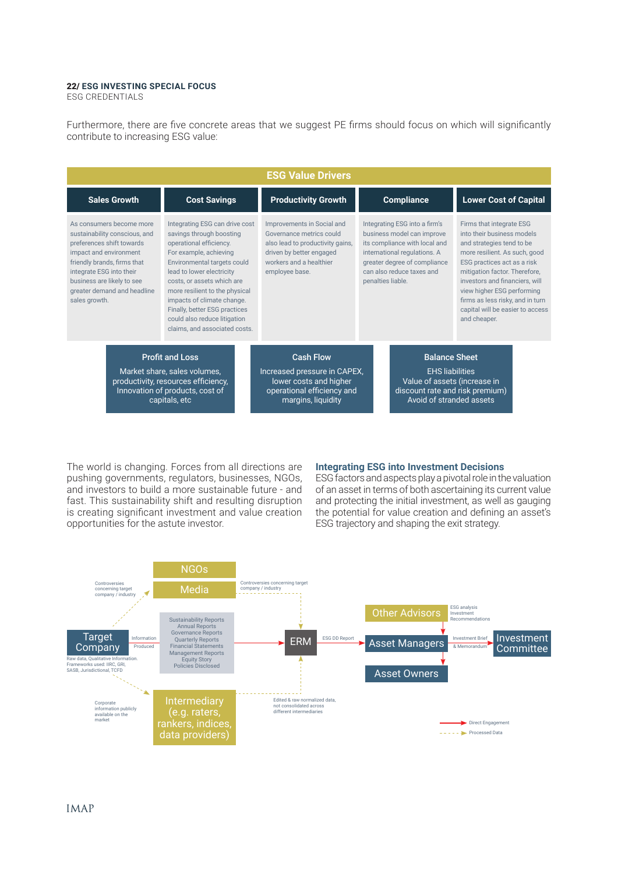ESG CREDENTIALS

Furthermore, there are fve concrete areas that we suggest PE frms should focus on which will signifcantly contribute to increasing ESG value:

| <b>ESG Value Drivers</b>                                                                                                                                                                                                                                  |                                                                                                                                                                                                                                                                                                                                                                             |                                                                                                                                                                     |                                                                                                                                                                                                                |  |                                                                                                                                                                                                                                                                                                                                              |
|-----------------------------------------------------------------------------------------------------------------------------------------------------------------------------------------------------------------------------------------------------------|-----------------------------------------------------------------------------------------------------------------------------------------------------------------------------------------------------------------------------------------------------------------------------------------------------------------------------------------------------------------------------|---------------------------------------------------------------------------------------------------------------------------------------------------------------------|----------------------------------------------------------------------------------------------------------------------------------------------------------------------------------------------------------------|--|----------------------------------------------------------------------------------------------------------------------------------------------------------------------------------------------------------------------------------------------------------------------------------------------------------------------------------------------|
| <b>Sales Growth</b>                                                                                                                                                                                                                                       | <b>Cost Savings</b>                                                                                                                                                                                                                                                                                                                                                         | <b>Productivity Growth</b>                                                                                                                                          | <b>Compliance</b>                                                                                                                                                                                              |  | <b>Lower Cost of Capital</b>                                                                                                                                                                                                                                                                                                                 |
| As consumers become more<br>sustainability conscious, and<br>preferences shift towards<br>impact and environment<br>friendly brands, firms that<br>integrate ESG into their<br>business are likely to see<br>greater demand and headline<br>sales growth. | Integrating ESG can drive cost<br>savings through boosting<br>operational efficiency.<br>For example, achieving<br>Environmental targets could<br>lead to lower electricity<br>costs, or assets which are<br>more resilient to the physical<br>impacts of climate change.<br>Finally, better ESG practices<br>could also reduce litigation<br>claims, and associated costs. | Improvements in Social and<br>Governance metrics could<br>also lead to productivity gains,<br>driven by better engaged<br>workers and a healthier<br>employee base. | Integrating ESG into a firm's<br>business model can improve<br>its compliance with local and<br>international regulations. A<br>greater degree of compliance<br>can also reduce taxes and<br>penalties liable. |  | Firms that integrate ESG<br>into their business models<br>and strategies tend to be<br>more resilient. As such, good<br>ESG practices act as a risk<br>mitigation factor. Therefore,<br>investors and financiers, will<br>view higher ESG performing<br>firms as less risky, and in turn<br>capital will be easier to access<br>and cheaper. |
| <b>Profit and Loss</b><br>Market share, sales volumes,<br>productivity, resources efficiency,<br>Innovation of products, cost of<br>capitals, etc                                                                                                         |                                                                                                                                                                                                                                                                                                                                                                             | <b>Cash Flow</b><br>Increased pressure in CAPEX,<br>lower costs and higher<br>operational efficiency and<br>margins, liquidity                                      | <b>Balance Sheet</b><br><b>EHS liabilities</b><br>Value of assets (increase in<br>discount rate and risk premium)<br>Avoid of stranded assets                                                                  |  |                                                                                                                                                                                                                                                                                                                                              |

The world is changing. Forces from all directions are pushing governments, regulators, businesses, NGOs, and investors to build a more sustainable future - and fast. This sustainability shift and resulting disruption is creating signifcant investment and value creation opportunities for the astute investor.

#### **Integrating ESG into Investment Decisions**

ESG factors and aspects play a pivotal role in the valuation of an asset in terms of both ascertaining its current value and protecting the initial investment, as well as gauging the potential for value creation and defning an asset's ESG trajectory and shaping the exit strategy.

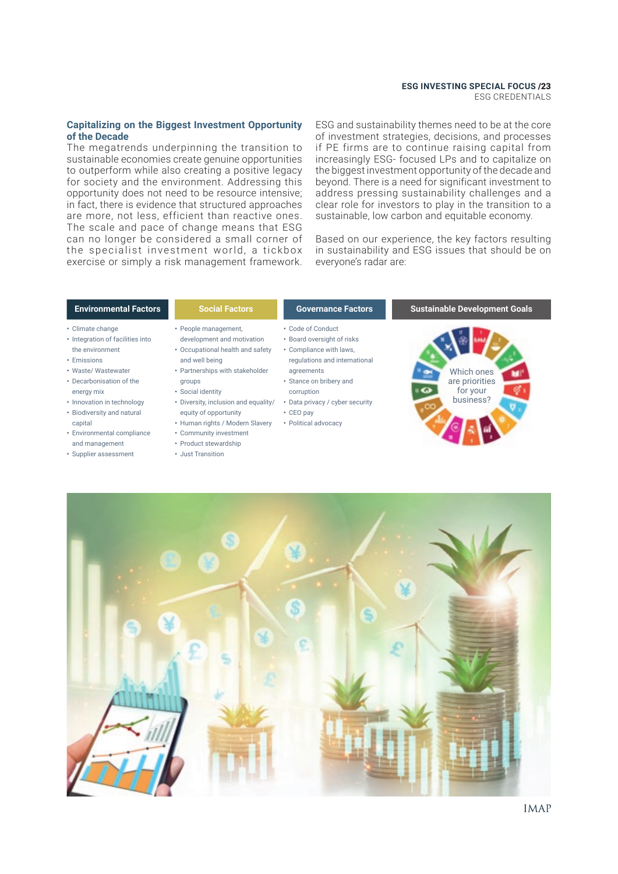ESG CREDENTIALS

#### **Capitalizing on the Biggest Investment Opportunity of the Decade**

The megatrends underpinning the transition to sustainable economies create genuine opportunities to outperform while also creating a positive legacy for society and the environment. Addressing this opportunity does not need to be resource intensive; in fact, there is evidence that structured approaches are more, not less, efficient than reactive ones. The scale and pace of change means that ESG can no longer be considered a small corner of the specialist investment world, a tickbox exercise or simply a risk management framework.

ESG and sustainability themes need to be at the core of investment strategies, decisions, and processes if PE firms are to continue raising capital from increasingly ESG- focused LPs and to capitalize on the biggest investment opportunity of the decade and beyond. There is a need for significant investment to address pressing sustainability challenges and a clear role for investors to play in the transition to a sustainable, low carbon and equitable economy.

Based on our experience, the key factors resulting in sustainability and ESG issues that should be on everyone's radar are:

- **•** Climate change
- Integration of facilities into the environment
- **•** Emissions
- **•** Waste/ Wastewater
- **•** Decarbonisation of the energy mix
- **•** Innovation in technology **•** Biodiversity and natural
- capital
- **•** Environmental compliance and management
- **•** Supplier assessment
- **•** People management,
- development and motivation **•** Occupational health and safety
- and well being **•** Partnerships with stakeholder
- groups
- **•** Social identity
- **•** Diversity, inclusion and equality/ equity of opportunity
	- **•** Human rights / Modern Slavery **•** Community investment
	- **•** Product stewardship
	- **•** Just Transition
- 
- **•** Code of Conduct **•** Board oversight of risks
- **•** Compliance with laws, regulations and international
- agreements
- **•** Stance on bribery and corruption
- **•** Data privacy / cyber security
- **•** CEO pay
- **•** Political advocacy

#### **Environmental Factors Social Factors Governance Factors Sustainable Development Goals**



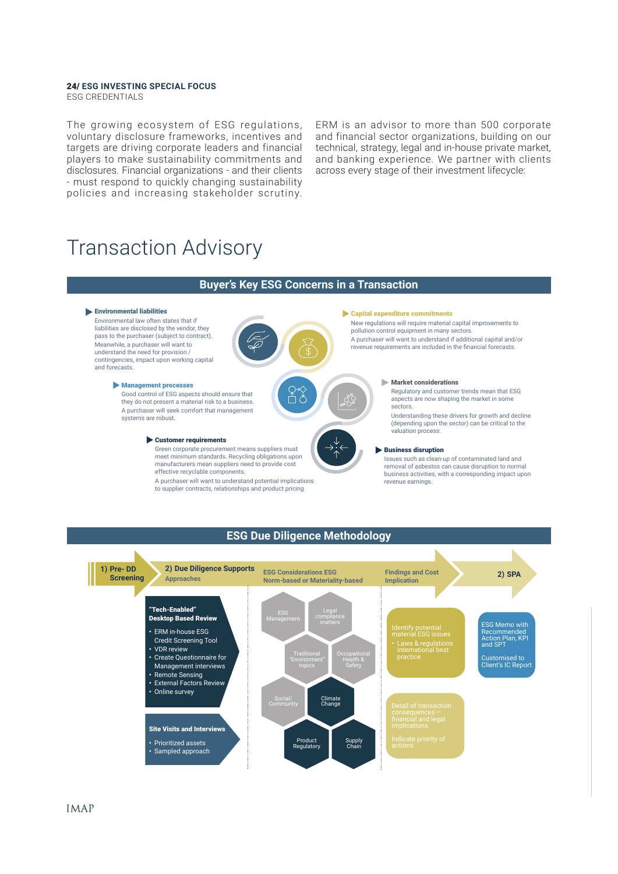ESG CREDENTIALS

The growing ecosystem of ESG regulations, voluntary disclosure frameworks, incentives and targets are driving corporate leaders and financial players to make sustainability commitments and disclosures. Financial organizations - and their clients - must respond to quickly changing sustainability policies and increasing stakeholder scrutiny.

ERM is an advisor to more than 500 corporate and financial sector organizations, building on our technical, strategy, legal and in-house private market, and banking experience. We partner with clients across every stage of their investment lifecycle:

### Transaction Advisory